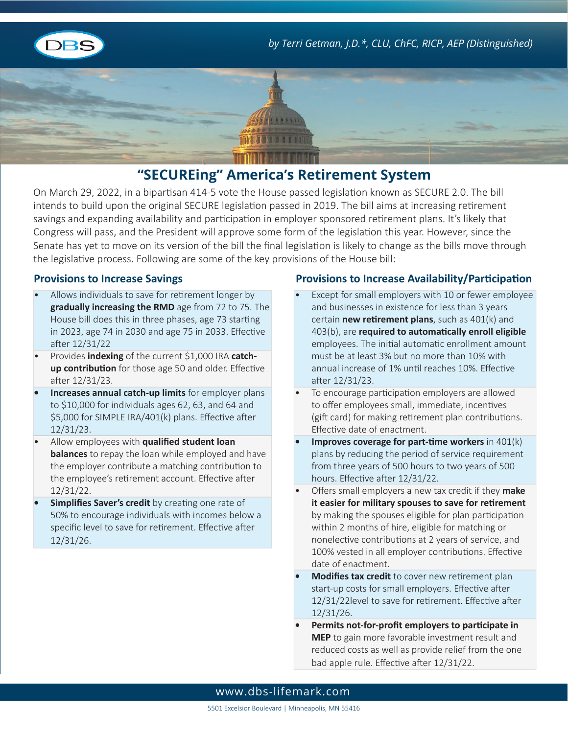





# **"SECUREing" America's Retirement System**

On March 29, 2022, in a bipartisan 414-5 vote the House passed legislation known as SECURE 2.0. The bill intends to build upon the original SECURE legislation passed in 2019. The bill aims at increasing retirement savings and expanding availability and participation in employer sponsored retirement plans. It's likely that Congress will pass, and the President will approve some form of the legislation this year. However, since the Senate has yet to move on its version of the bill the final legislation is likely to change as the bills move through the legislative process. Following are some of the key provisions of the House bill:

- Allows individuals to save for retirement longer by **gradually increasing the RMD** age from 72 to 75. The House bill does this in three phases, age 73 starting in 2023, age 74 in 2030 and age 75 in 2033. Effective after 12/31/22
- Provides **indexing** of the current \$1,000 IRA **catchup contribution** for those age 50 and older. Effective after 12/31/23.
- **• Increases annual catch-up limits** for employer plans to \$10,000 for individuals ages 62, 63, and 64 and \$5,000 for SIMPLE IRA/401(k) plans. Effective after 12/31/23.
- Allow employees with **qualified student loan balances** to repay the loan while employed and have the employer contribute a matching contribution to the employee's retirement account. Effective after 12/31/22.
- **Simplifies Saver's credit** by creating one rate of 50% to encourage individuals with incomes below a specific level to save for retirement. Effective after 12/31/26.

#### **Provisions to Increase Savings Provisions to Increase Availability/Participation**

- Except for small employers with 10 or fewer employee and businesses in existence for less than 3 years certain **new retirement plans**, such as 401(k) and 403(b), are **required to automatically enroll eligible** employees. The initial automatic enrollment amount must be at least 3% but no more than 10% with annual increase of 1% until reaches 10%. Effective after 12/31/23.
- To encourage participation employers are allowed to offer employees small, immediate, incentives (gift card) for making retirement plan contributions. Effective date of enactment.
- **Improves coverage for part-time workers** in 401(k) plans by reducing the period of service requirement from three years of 500 hours to two years of 500 hours. Effective after 12/31/22.
- Offers small employers a new tax credit if they **make it easier for military spouses to save for retirement** by making the spouses eligible for plan participation within 2 months of hire, eligible for matching or nonelective contributions at 2 years of service, and 100% vested in all employer contributions. Effective date of enactment.
- **• Modifies tax credit** to cover new retirement plan start-up costs for small employers. Effective after 12/31/22level to save for retirement. Effective after 12/31/26.
- **• Permits not-for-profit employers to participate in MEP** to gain more favorable investment result and reduced costs as well as provide relief from the one bad apple rule. Effective after 12/31/22.

### www.dbs-lifemark.com